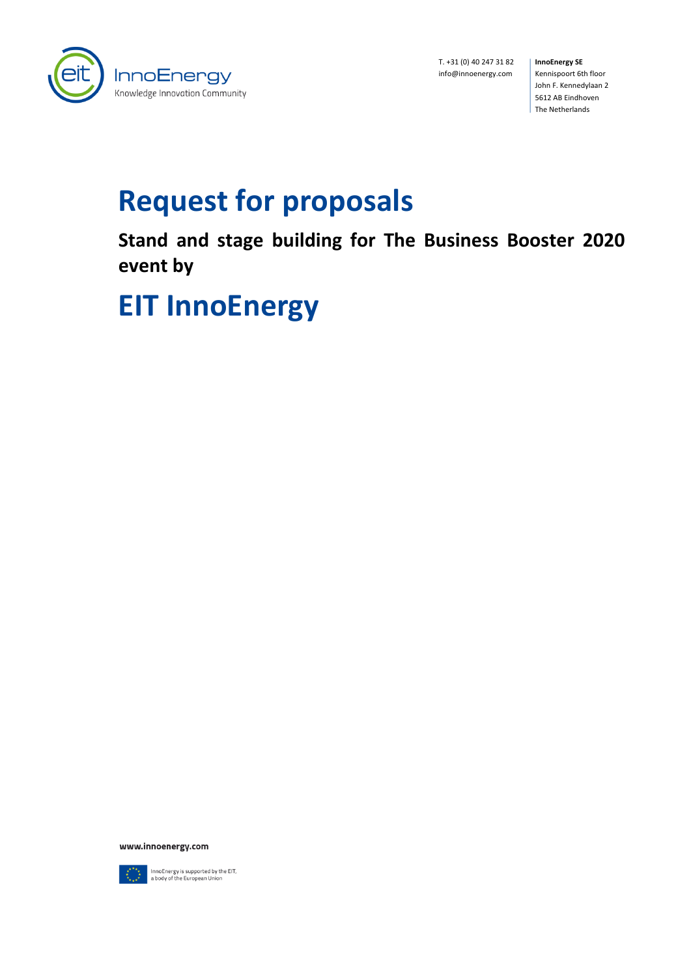

T. +31 (0) 40 247 31 82 **InnoEnergy SE** info@innoenergy.com

Kennispoort 6th floor John F. Kennedylaan 2 5612 AB Eindhoven The Netherlands

# **Request for proposals**

**Stand and stage building for The Business Booster 2020 event by** 

# **EIT InnoEnergy**

www.innoenergy.com



InnoEnergy is supported by the EIT,<br>a body of the European Union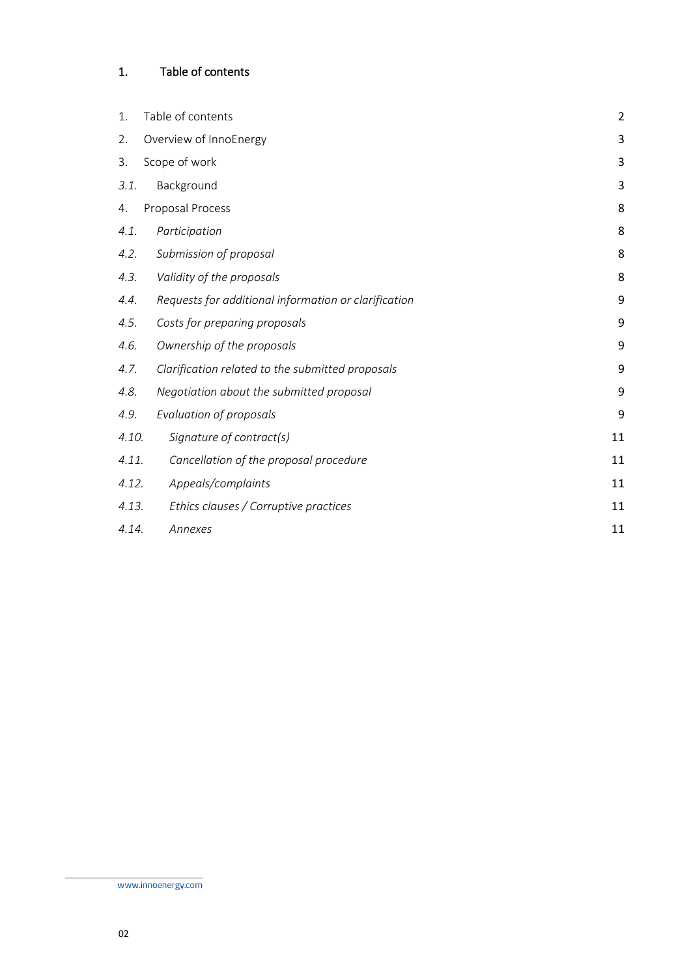# <span id="page-1-0"></span>1. Table of contents

| 1.    | Table of contents                                    | $\overline{2}$ |
|-------|------------------------------------------------------|----------------|
| 2.    | Overview of InnoEnergy                               | 3              |
| 3.    | Scope of work                                        | 3              |
| 3.1.  | Background                                           | 3              |
| 4.    | Proposal Process                                     | 8              |
| 4.1.  | Participation                                        | 8              |
| 4.2.  | Submission of proposal                               | 8              |
| 4.3.  | Validity of the proposals                            | 8              |
| 4.4.  | Requests for additional information or clarification | 9              |
| 4.5.  | Costs for preparing proposals                        | 9              |
| 4.6.  | Ownership of the proposals                           | 9              |
| 4.7.  | Clarification related to the submitted proposals     | 9              |
| 4.8.  | Negotiation about the submitted proposal             | 9              |
| 4.9.  | Evaluation of proposals                              | 9              |
| 4.10. | Signature of contract(s)                             | 11             |
| 4.11. | Cancellation of the proposal procedure               | 11             |
| 4.12. | Appeals/complaints                                   | 11             |
| 4.13. | Ethics clauses / Corruptive practices                | 11             |
| 4.14. | Annexes                                              | 11             |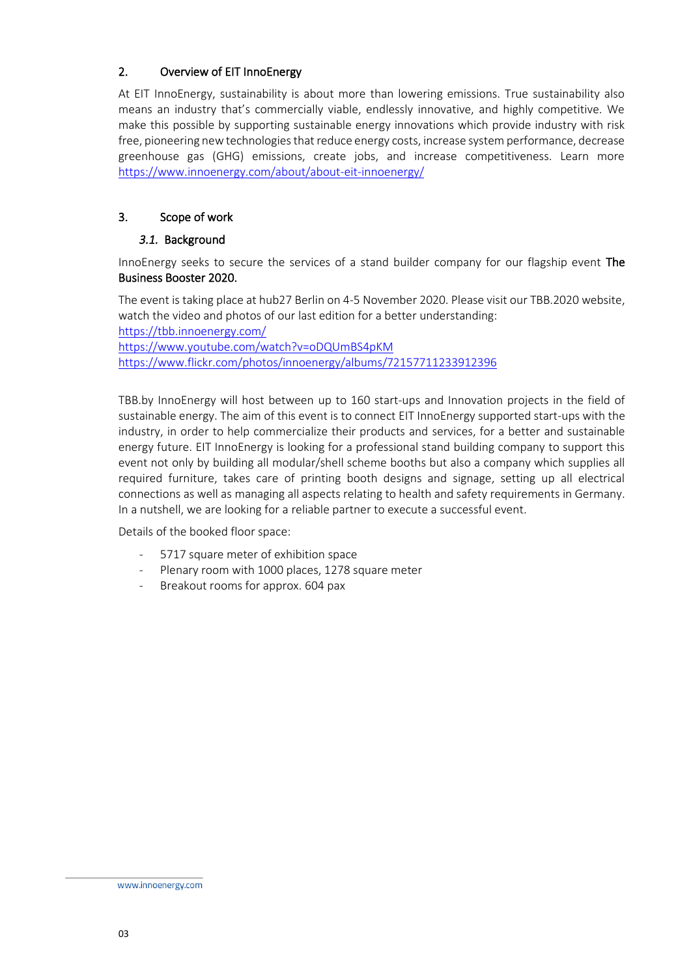# <span id="page-2-0"></span>2. Overview of EIT InnoEnergy

At EIT InnoEnergy, sustainability is about more than lowering emissions. True sustainability also means an industry that's commercially viable, endlessly innovative, and highly competitive. We make this possible by supporting sustainable energy innovations which provide industry with risk free, pioneering new technologies that reduce energy costs, increase system performance, decrease greenhouse gas (GHG) emissions, create jobs, and increase competitiveness. Learn more <https://www.innoenergy.com/about/about-eit-innoenergy/>

# <span id="page-2-1"></span>3. Scope of work

# <span id="page-2-2"></span>*3.1.* Background

InnoEnergy seeks to secure the services of a stand builder company for our flagship event The Business Booster 2020.

The event is taking place at hub27 Berlin on 4-5 November 2020. Please visit our TBB.2020 website, watch the video and photos of our last edition for a better understanding: <https://tbb.innoenergy.com/> https://www.youtube.com/watch?v=oDQUmBS4pKM <https://www.flickr.com/photos/innoenergy/albums/72157711233912396>

TBB.by InnoEnergy will host between up to 160 start-ups and Innovation projects in the field of sustainable energy. The aim of this event is to connect EIT InnoEnergy supported start-ups with the industry, in order to help commercialize their products and services, for a better and sustainable energy future. EIT InnoEnergy is looking for a professional stand building company to support this event not only by building all modular/shell scheme booths but also a company which supplies all required furniture, takes care of printing booth designs and signage, setting up all electrical connections as well as managing all aspects relating to health and safety requirements in Germany. In a nutshell, we are looking for a reliable partner to execute a successful event.

Details of the booked floor space:

- 5717 square meter of exhibition space
- Plenary room with 1000 places, 1278 square meter
- Breakout rooms for approx. 604 pax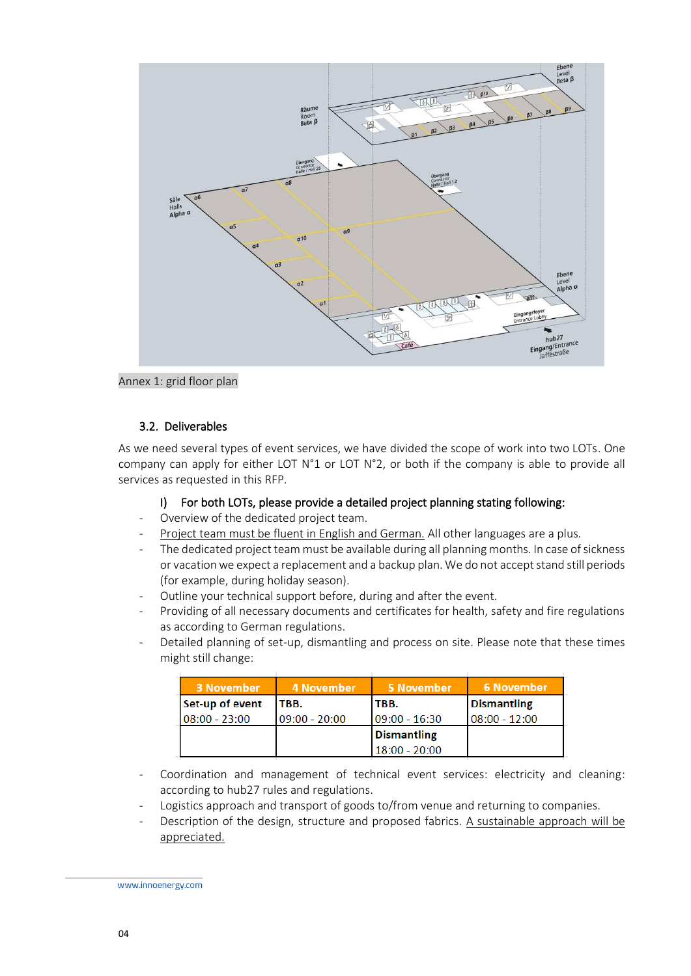

Annex 1: grid floor plan

# 3.2. Deliverables

As we need several types of event services, we have divided the scope of work into two LOTs. One company can apply for either LOT  $N^{\circ}1$  or LOT  $N^{\circ}2$ , or both if the company is able to provide all services as requested in this RFP.

# I) For both LOTs, please provide a detailed project planning stating following:

- Overview of the dedicated project team.
- Project team must be fluent in English and German. All other languages are a plus.
- The dedicated project team must be available during all planning months. In case of sickness or vacation we expect a replacement and a backup plan. We do not accept stand still periods (for example, during holiday season).
- Outline your technical support before, during and after the event.
- Providing of all necessary documents and certificates for health, safety and fire regulations as according to German regulations.
- Detailed planning of set-up, dismantling and process on site. Please note that these times might still change:

| <b>3 November</b> | 4 November      | 5 November         | 6 November       |
|-------------------|-----------------|--------------------|------------------|
| Set-up of event   | TBB.            | TBB.               | Dismantling      |
| $08:00 - 23:00$   | $09:00 - 20:00$ | $09:00 - 16:30$    | $108:00 - 12:00$ |
|                   |                 | <b>Dismantling</b> |                  |
|                   |                 | $18:00 - 20:00$    |                  |

- Coordination and management of technical event services: electricity and cleaning: according to hub27 rules and regulations.
- Logistics approach and transport of goods to/from venue and returning to companies.
- Description of the design, structure and proposed fabrics. A sustainable approach will be appreciated.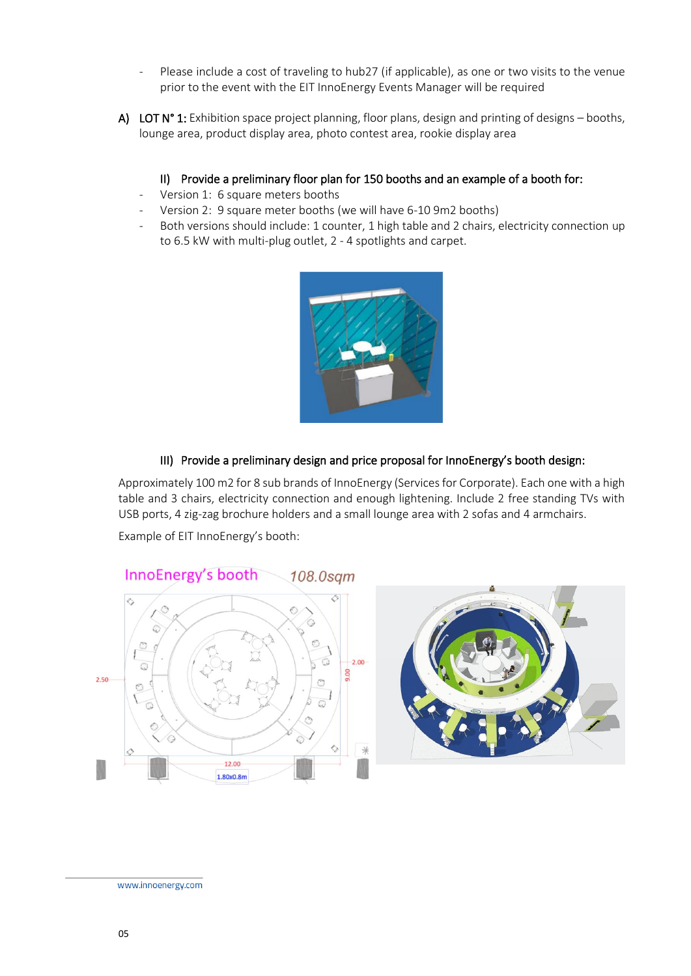- Please include a cost of traveling to hub27 (if applicable), as one or two visits to the venue prior to the event with the EIT InnoEnergy Events Manager will be required
- A) LOT N° 1: Exhibition space project planning, floor plans, design and printing of designs booths, lounge area, product display area, photo contest area, rookie display area

# II) Provide a preliminary floor plan for 150 booths and an example of a booth for:

- Version 1: 6 square meters booths
- Version 2: 9 square meter booths (we will have 6-10 9m2 booths)
- Both versions should include: 1 counter, 1 high table and 2 chairs, electricity connection up to 6.5 kW with multi-plug outlet, 2 - 4 spotlights and carpet.



# III) Provide a preliminary design and price proposal for InnoEnergy's booth design:

Approximately 100 m2 for 8 sub brands of InnoEnergy (Services for Corporate). Each one with a high table and 3 chairs, electricity connection and enough lightening. Include 2 free standing TVs with USB ports, 4 zig-zag brochure holders and a small lounge area with 2 sofas and 4 armchairs.

Example of EIT InnoEnergy's booth:

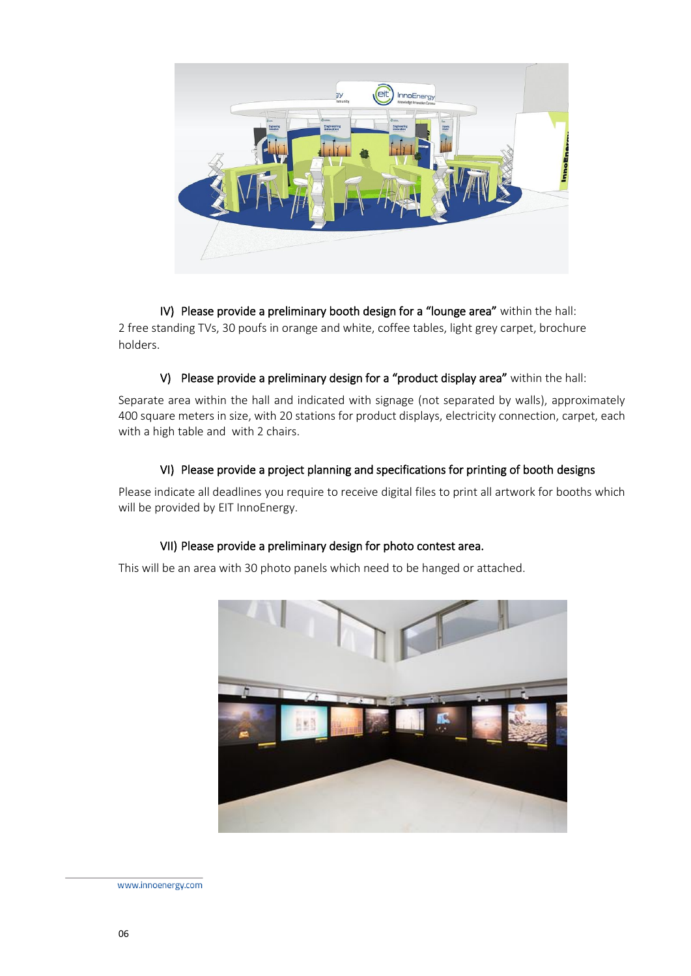

IV) Please provide a preliminary booth design for a "lounge area" within the hall: 2 free standing TVs, 30 poufs in orange and white, coffee tables, light grey carpet, brochure holders.

#### V) Please provide a preliminary design for a "product display area" within the hall:

Separate area within the hall and indicated with signage (not separated by walls), approximately 400 square meters in size, with 20 stations for product displays, electricity connection, carpet, each with a high table and with 2 chairs.

#### VI) Please provide a project planning and specifications for printing of booth designs

Please indicate all deadlines you require to receive digital files to print all artwork for booths which will be provided by EIT InnoEnergy.

#### VII) Please provide a preliminary design for photo contest area.

This will be an area with 30 photo panels which need to be hanged or attached.

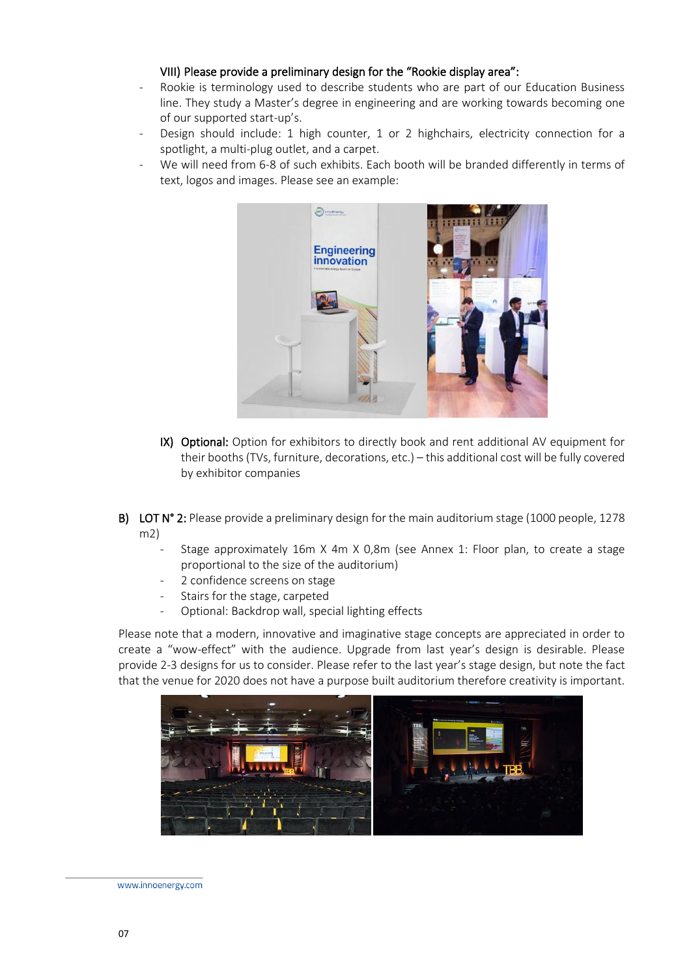#### VIII) Please provide a preliminary design for the "Rookie display area":

- Rookie is terminology used to describe students who are part of our Education Business line. They study a Master's degree in engineering and are working towards becoming one of our supported start-up's.
- Design should include: 1 high counter, 1 or 2 highchairs, electricity connection for a spotlight, a multi-plug outlet, and a carpet.
- We will need from 6-8 of such exhibits. Each booth will be branded differently in terms of text, logos and images. Please see an example:



- IX) Optional: Option for exhibitors to directly book and rent additional AV equipment for their booths (TVs, furniture, decorations, etc.) – this additional cost will be fully covered by exhibitor companies
- B) LOT N° 2: Please provide a preliminary design for the main auditorium stage (1000 people, 1278 m2)
	- Stage approximately 16m X 4m X 0,8m (see Annex 1: Floor plan, to create a stage proportional to the size of the auditorium)
	- 2 confidence screens on stage
	- Stairs for the stage, carpeted
	- Optional: Backdrop wall, special lighting effects

Please note that a modern, innovative and imaginative stage concepts are appreciated in order to create a "wow-effect" with the audience. Upgrade from last year's design is desirable. Please provide 2-3 designs for us to consider. Please refer to the last year's stage design, but note the fact that the venue for 2020 does not have a purpose built auditorium therefore creativity is important.

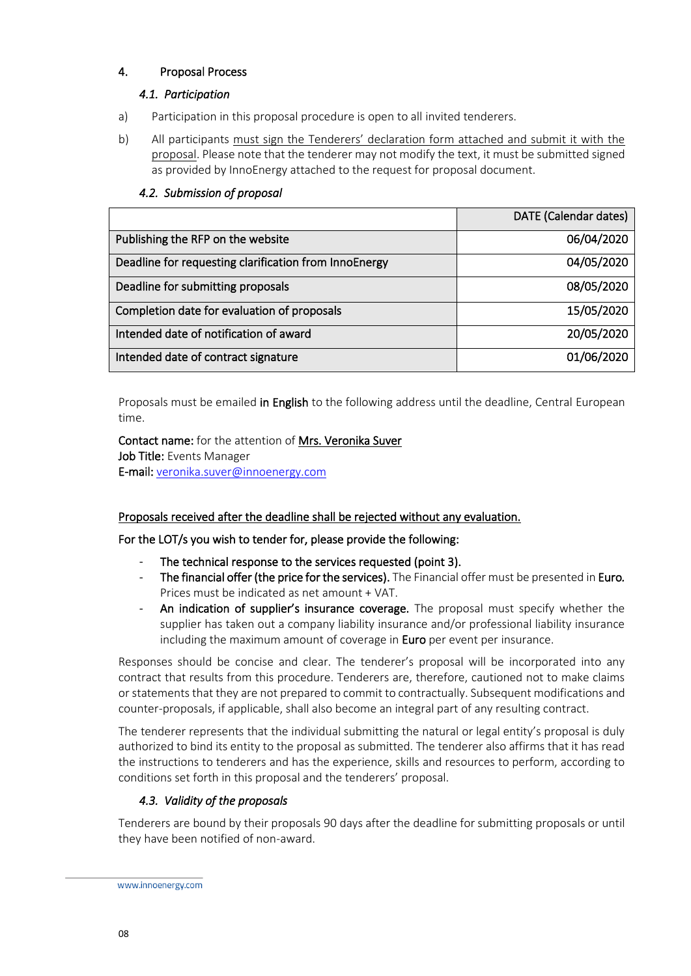# <span id="page-7-1"></span><span id="page-7-0"></span>4. Proposal Process

# *4.1. Participation*

- a) Participation in this proposal procedure is open to all invited tenderers.
- b) All participants must sign the Tenderers' declaration form attached and submit it with the proposal. Please note that the tenderer may not modify the text, it must be submitted signed as provided by InnoEnergy attached to the request for proposal document.

|                                                       | <b>DATE</b> (Calendar dates) |
|-------------------------------------------------------|------------------------------|
| Publishing the RFP on the website                     | 06/04/2020                   |
| Deadline for requesting clarification from InnoEnergy | 04/05/2020                   |
| Deadline for submitting proposals                     | 08/05/2020                   |
| Completion date for evaluation of proposals           | 15/05/2020                   |
| Intended date of notification of award                | 20/05/2020                   |
| Intended date of contract signature                   | 01/06/2020                   |

# <span id="page-7-2"></span>*4.2. Submission of proposal*

Proposals must be emailed in English to the following address until the deadline, Central European time.

Contact name: for the attention of Mrs. Veronika Suver Job Title: Events Manager E-mail: [veronika.suver@innoenergy.com](mailto:veronika.suver@innoenergy.com)

# Proposals received after the deadline shall be rejected without any evaluation.

# For the LOT/s you wish to tender for, please provide the following:

- The technical response to the services requested (point 3).
- The financial offer (the price for the services). The Financial offer must be presented in Euro*.*  Prices must be indicated as net amount + VAT.
- An indication of supplier's insurance coverage. The proposal must specify whether the supplier has taken out a company liability insurance and/or professional liability insurance including the maximum amount of coverage in Euro per event per insurance.

Responses should be concise and clear. The tenderer's proposal will be incorporated into any contract that results from this procedure. Tenderers are, therefore, cautioned not to make claims or statements that they are not prepared to commit to contractually. Subsequent modifications and counter-proposals, if applicable, shall also become an integral part of any resulting contract.

The tenderer represents that the individual submitting the natural or legal entity's proposal is duly authorized to bind its entity to the proposal as submitted. The tenderer also affirms that it has read the instructions to tenderers and has the experience, skills and resources to perform, according to conditions set forth in this proposal and the tenderers' proposal.

# <span id="page-7-3"></span>*4.3. Validity of the proposals*

Tenderers are bound by their proposals 90 days after the deadline for submitting proposals or until they have been notified of non-award.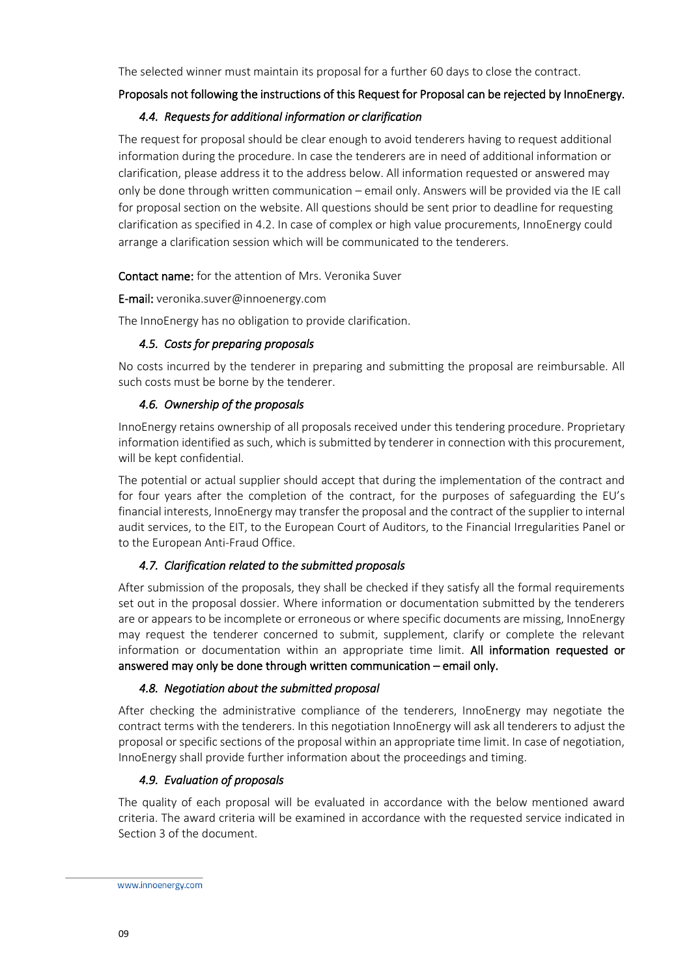The selected winner must maintain its proposal for a further 60 days to close the contract.

#### <span id="page-8-0"></span>Proposals not following the instructions of this Request for Proposal can be rejected by InnoEnergy.

#### *4.4. Requests for additional information or clarification*

The request for proposal should be clear enough to avoid tenderers having to request additional information during the procedure. In case the tenderers are in need of additional information or clarification, please address it to the address below. All information requested or answered may only be done through written communication – email only. Answers will be provided via the IE call for proposal section on the website. All questions should be sent prior to deadline for requesting clarification as specified in 4.2. In case of complex or high value procurements, InnoEnergy could arrange a clarification session which will be communicated to the tenderers.

Contact name: for the attention of Mrs. Veronika Suver

E-mail: veronika.suver@innoenergy.com

<span id="page-8-1"></span>The InnoEnergy has no obligation to provide clarification.

#### *4.5. Costs for preparing proposals*

No costs incurred by the tenderer in preparing and submitting the proposal are reimbursable. All such costs must be borne by the tenderer.

#### <span id="page-8-2"></span>*4.6. Ownership of the proposals*

InnoEnergy retains ownership of all proposals received under this tendering procedure. Proprietary information identified as such, which is submitted by tenderer in connection with this procurement, will be kept confidential.

The potential or actual supplier should accept that during the implementation of the contract and for four years after the completion of the contract, for the purposes of safeguarding the EU's financial interests, InnoEnergy may transfer the proposal and the contract of the supplier to internal audit services, to the EIT, to the European Court of Auditors, to the Financial Irregularities Panel or to the European Anti-Fraud Office.

#### <span id="page-8-3"></span>*4.7. Clarification related to the submitted proposals*

After submission of the proposals, they shall be checked if they satisfy all the formal requirements set out in the proposal dossier. Where information or documentation submitted by the tenderers are or appears to be incomplete or erroneous or where specific documents are missing, InnoEnergy may request the tenderer concerned to submit, supplement, clarify or complete the relevant information or documentation within an appropriate time limit. All information requested or answered may only be done through written communication – email only.

#### <span id="page-8-4"></span>*4.8. Negotiation about the submitted proposal*

After checking the administrative compliance of the tenderers, InnoEnergy may negotiate the contract terms with the tenderers. In this negotiation InnoEnergy will ask all tenderers to adjust the proposal or specific sections of the proposal within an appropriate time limit. In case of negotiation, InnoEnergy shall provide further information about the proceedings and timing.

#### <span id="page-8-5"></span>*4.9. Evaluation of proposals*

The quality of each proposal will be evaluated in accordance with the below mentioned award criteria. The award criteria will be examined in accordance with the requested service indicated in Section 3 of the document.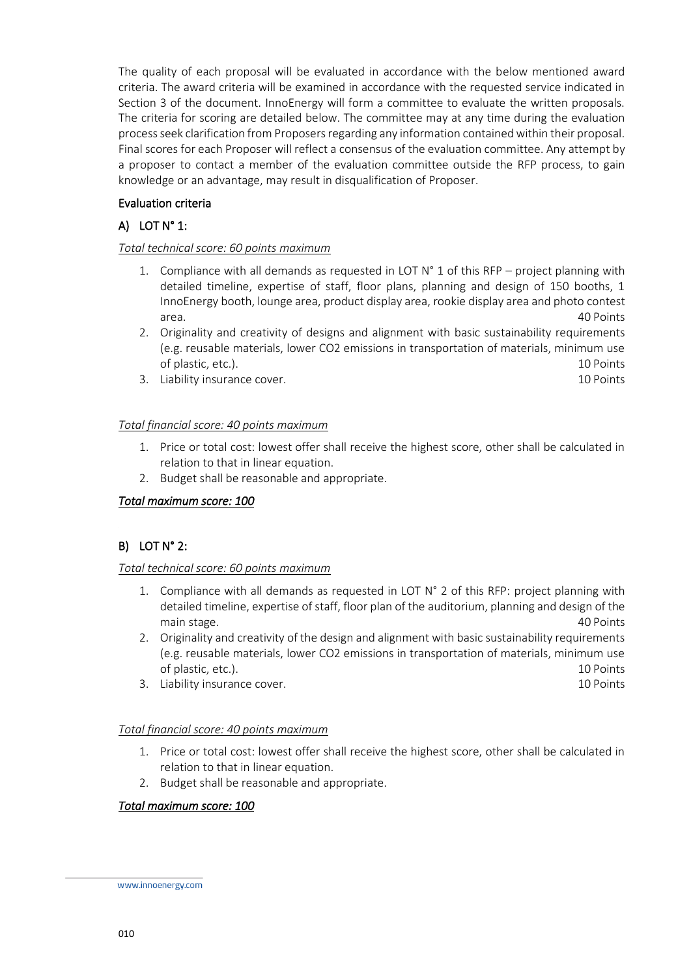The quality of each proposal will be evaluated in accordance with the below mentioned award criteria. The award criteria will be examined in accordance with the requested service indicated in Section 3 of the document. InnoEnergy will form a committee to evaluate the written proposals. The criteria for scoring are detailed below. The committee may at any time during the evaluation process seek clarification from Proposers regarding any information contained within their proposal. Final scores for each Proposer will reflect a consensus of the evaluation committee. Any attempt by a proposer to contact a member of the evaluation committee outside the RFP process, to gain knowledge or an advantage, may result in disqualification of Proposer.

# Evaluation criteria

# A) LOT N° 1:

#### *Total technical score: 60 points maximum*

- 1. Compliance with all demands as requested in LOT  $N^{\circ}$  1 of this RFP project planning with detailed timeline, expertise of staff, floor plans, planning and design of 150 booths, 1 InnoEnergy booth, lounge area, product display area, rookie display area and photo contest area. 40 Points
- 2. Originality and creativity of designs and alignment with basic sustainability requirements (e.g. reusable materials, lower CO2 emissions in transportation of materials, minimum use of plastic, etc.). 10 Points
- 3. Liability insurance cover. The cover of the contract of the cover of the cover of the cover of the cover of the cover of the cover of the cover of the cover of the cover of the cover of the cover of the cover of the cov

#### *Total financial score: 40 points maximum*

- 1. Price or total cost: lowest offer shall receive the highest score, other shall be calculated in relation to that in linear equation.
- 2. Budget shall be reasonable and appropriate.

#### *Total maximum score: 100*

#### B) LOT N° 2:

#### *Total technical score: 60 points maximum*

- 1. Compliance with all demands as requested in LOT N° 2 of this RFP: project planning with detailed timeline, expertise of staff, floor plan of the auditorium, planning and design of the main stage. 40 Points and the stage of the stage of the stage of the stage of the stage of the stage of the stage of the stage of the stage of the stage of the stage of the stage of the stage of the stage of the stage of t
- 2. Originality and creativity of the design and alignment with basic sustainability requirements (e.g. reusable materials, lower CO2 emissions in transportation of materials, minimum use of plastic, etc.). 10 Points
- 3. Liability insurance cover. The community is a state of the contract of the contract of the contract of the contract of the contract of the contract of the contract of the contract of the contract of the contract of the

# *Total financial score: 40 points maximum*

- 1. Price or total cost: lowest offer shall receive the highest score, other shall be calculated in relation to that in linear equation.
- 2. Budget shall be reasonable and appropriate.

#### *Total maximum score: 100*